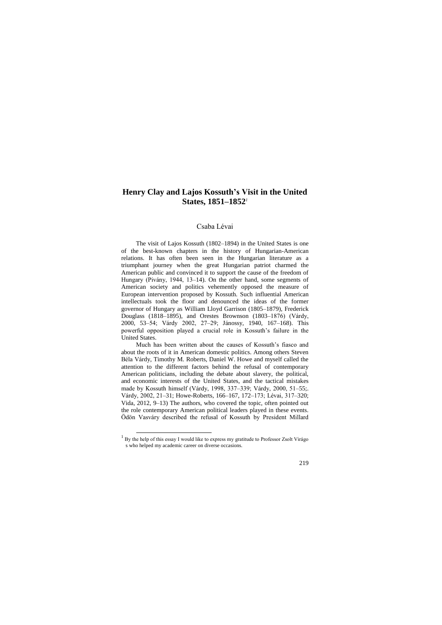# **Henry Clay and Lajos Kossuth's Visit in the United States, 1851–1852***<sup>1</sup>*

## Csaba Lévai

The visit of Lajos Kossuth (1802–1894) in the United States is one of the best-known chapters in the history of Hungarian-American relations. It has often been seen in the Hungarian literature as a triumphant journey when the great Hungarian patriot charmed the American public and convinced it to support the cause of the freedom of Hungary (Pivány, 1944, 13–14). On the other hand, some segments of American society and politics vehemently opposed the measure of European intervention proposed by Kossuth. Such influential American intellectuals took the floor and denounced the ideas of the former governor of Hungary as William Lloyd Garrison (1805–1879), Frederick Douglass (1818–1895), and Orestes Brownson (1803–1876) (Várdy, 2000, 53–54; Várdy 2002, 27–29; Jánossy, 1940, 167–168). This powerful opposition played a crucial role in Kossuth's failure in the United States.

Much has been written about the causes of Kossuth's fiasco and about the roots of it in American domestic politics. Among others Steven Béla Várdy, Timothy M. Roberts, Daniel W. Howe and myself called the attention to the different factors behind the refusal of contemporary American politicians, including the debate about slavery, the political, and economic interests of the United States, and the tactical mistakes made by Kossuth himself (Várdy, 1998, 337–339; Várdy, 2000, 51–55;. Várdy, 2002, 21–31; Howe-Roberts, 166–167, 172–173; Lévai, 317–320; Vida, 2012, 9–13) The authors, who covered the topic, often pointed out the role contemporary American political leaders played in these events. Ödön Vasváry described the refusal of Kossuth by President Millard

 $\overline{a}$ 

 $1$  By the help of this essay I would like to express my gratitude to Professor Zsolt Virágo s who helped my academic career on diverse occasions.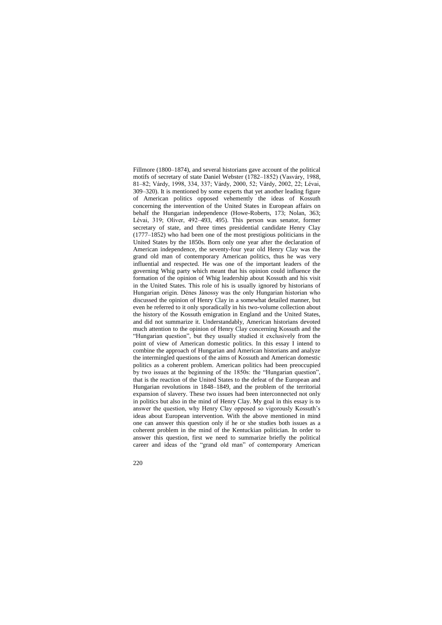Fillmore (1800–1874), and several historians gave account of the political motifs of secretary of state Daniel Webster (1782–1852) (Vasváry, 1988, 81–82; Várdy, 1998, 334, 337; Várdy, 2000, 52; Várdy, 2002, 22; Lévai, 309–320). It is mentioned by some experts that yet another leading figure of American politics opposed vehemently the ideas of Kossuth concerning the intervention of the United States in European affairs on behalf the Hungarian independence (Howe-Roberts, 173; Nolan, 363; Lévai, 319; Oliver, 492–493, 495). This person was senator, former secretary of state, and three times presidential candidate Henry Clay (1777–1852) who had been one of the most prestigious politicians in the United States by the 1850s. Born only one year after the declaration of American independence, the seventy-four year old Henry Clay was the grand old man of contemporary American politics, thus he was very influential and respected. He was one of the important leaders of the governing Whig party which meant that his opinion could influence the formation of the opinion of Whig leadership about Kossuth and his visit in the United States. This role of his is usually ignored by historians of Hungarian origin. Dénes Jánossy was the only Hungarian historian who discussed the opinion of Henry Clay in a somewhat detailed manner, but even he referred to it only sporadically in his two-volume collection about the history of the Kossuth emigration in England and the United States, and did not summarize it. Understandably, American historians devoted much attention to the opinion of Henry Clay concerning Kossuth and the "Hungarian question", but they usually studied it exclusively from the point of view of American domestic politics. In this essay I intend to combine the approach of Hungarian and American historians and analyze the intermingled questions of the aims of Kossuth and American domestic politics as a coherent problem. American politics had been preoccupied by two issues at the beginning of the 1850s: the "Hungarian question", that is the reaction of the United States to the defeat of the European and Hungarian revolutions in 1848–1849, and the problem of the territorial expansion of slavery. These two issues had been interconnected not only in politics but also in the mind of Henry Clay. My goal in this essay is to answer the question, why Henry Clay opposed so vigorously Kossuth's ideas about European intervention. With the above mentioned in mind one can answer this question only if he or she studies both issues as a coherent problem in the mind of the Kentuckian politician. In order to answer this question, first we need to summarize briefly the political career and ideas of the "grand old man" of contemporary American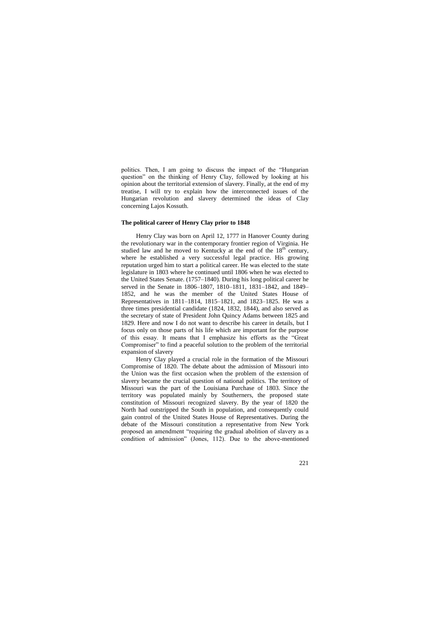politics. Then, I am going to discuss the impact of the "Hungarian question" on the thinking of Henry Clay, followed by looking at his opinion about the territorial extension of slavery. Finally, at the end of my treatise, I will try to explain how the interconnected issues of the Hungarian revolution and slavery determined the ideas of Clay concerning Lajos Kossuth.

### **The political career of Henry Clay prior to 1848**

Henry Clay was born on April 12, 1777 in Hanover County during the revolutionary war in the contemporary frontier region of Virginia. He studied law and he moved to Kentucky at the end of the  $18<sup>th</sup>$  century, where he established a very successful legal practice. His growing reputation urged him to start a political career. He was elected to the state legislature in 1803 where he continued until 1806 when he was elected to the United States Senate. (1757–1840). During his long political career he served in the Senate in 1806–1807, 1810–1811, 1831–1842, and 1849– 1852, and he was the member of the United States House of Representatives in 1811–1814, 1815–1821, and 1823–1825. He was a three times presidential candidate (1824, 1832, 1844), and also served as the secretary of state of President John Quincy Adams between 1825 and 1829. Here and now I do not want to describe his career in details, but I focus only on those parts of his life which are important for the purpose of this essay. It means that I emphasize his efforts as the "Great Compromiser" to find a peaceful solution to the problem of the territorial expansion of slavery

Henry Clay played a crucial role in the formation of the Missouri Compromise of 1820. The debate about the admission of Missouri into the Union was the first occasion when the problem of the extension of slavery became the crucial question of national politics. The territory of Missouri was the part of the Louisiana Purchase of 1803. Since the territory was populated mainly by Southerners, the proposed state constitution of Missouri recognized slavery. By the year of 1820 the North had outstripped the South in population, and consequently could gain control of the United States House of Representatives. During the debate of the Missouri constitution a representative from New York proposed an amendment "requiring the gradual abolition of slavery as a condition of admission" (Jones, 112). Due to the above-mentioned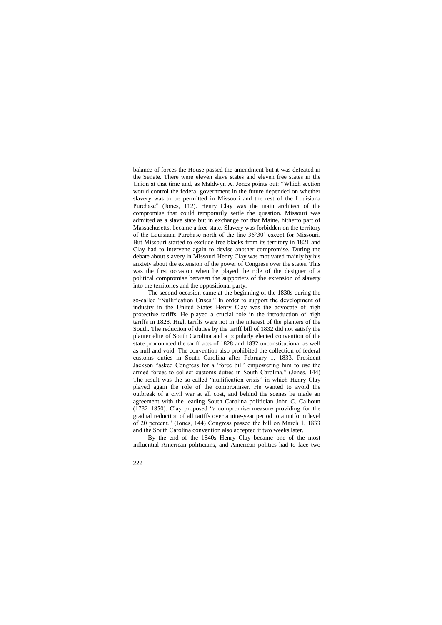balance of forces the House passed the amendment but it was defeated in the Senate. There were eleven slave states and eleven free states in the Union at that time and, as Maldwyn A. Jones points out: "Which section would control the federal government in the future depended on whether slavery was to be permitted in Missouri and the rest of the Louisiana Purchase" (Jones, 112). Henry Clay was the main architect of the compromise that could temporarily settle the question. Missouri was admitted as a slave state but in exchange for that Maine, hitherto part of Massachusetts, became a free state. Slavery was forbidden on the territory of the Louisiana Purchase north of the line 36°30' except for Missouri. But Missouri started to exclude free blacks from its territory in 1821 and Clay had to intervene again to devise another compromise. During the debate about slavery in Missouri Henry Clay was motivated mainly by his anxiety about the extension of the power of Congress over the states. This was the first occasion when he played the role of the designer of a political compromise between the supporters of the extension of slavery into the territories and the oppositional party.

The second occasion came at the beginning of the 1830s during the so-called "Nullification Crises." In order to support the development of industry in the United States Henry Clay was the advocate of high protective tariffs. He played a crucial role in the introduction of high tariffs in 1828. High tariffs were not in the interest of the planters of the South. The reduction of duties by the tariff bill of 1832 did not satisfy the planter elite of South Carolina and a popularly elected convention of the state pronounced the tariff acts of 1828 and 1832 unconstitutional as well as null and void. The convention also prohibited the collection of federal customs duties in South Carolina after February 1, 1833. President Jackson "asked Congress for a 'force bill' empowering him to use the armed forces to collect customs duties in South Carolina." (Jones, 144) The result was the so-called "nullification crisis" in which Henry Clay played again the role of the compromiser. He wanted to avoid the outbreak of a civil war at all cost, and behind the scenes he made an agreement with the leading South Carolina politician John C. Calhoun (1782–1850). Clay proposed "a compromise measure providing for the gradual reduction of all tariffs over a nine-year period to a uniform level of 20 percent." (Jones, 144) Congress passed the bill on March 1, 1833 and the South Carolina convention also accepted it two weeks later.

By the end of the 1840s Henry Clay became one of the most influential American politicians, and American politics had to face two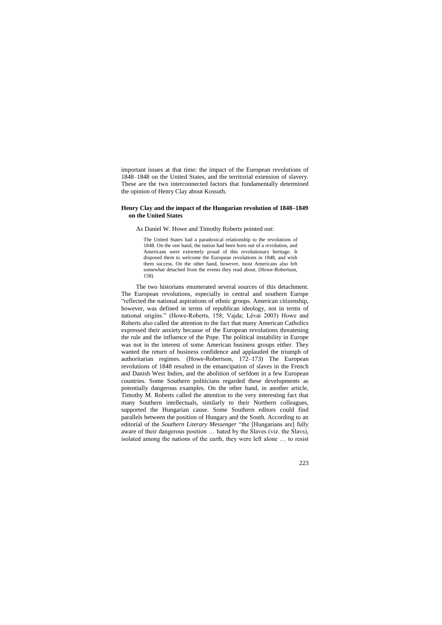important issues at that time: the impact of the European revolutions of 1848–1848 on the United States, and the territorial extension of slavery. These are the two interconnected factors that fundamentally determined the opinion of Henry Clay about Kossuth.

### **Henry Clay and the impact of the Hungarian revolution of 1848–1849 on the United States**

As Daniel W. Howe and Timothy Roberts pointed out:

The United States had a paradoxical relationship to the revolutions of 1848. On the one hand, the nation had been born out of a revolution, and Americans were extremely proud of this revolutionary heritage. It disposed them to welcome the European revolutions in 1848, and wish them success. On the other hand, however, most Americans also felt somewhat detached from the events they read about. (Howe-Robertson, 158)

The two historians enumerated several sources of this detachment. The European revolutions, especially in central and southern Europe "reflected the national aspirations of ethnic groups. American citizenship, however, was defined in terms of republican ideology, not in terms of national origins." (Howe-Roberts, 158; Vajda; Lévai 2003) Howe and Roberts also called the attention to the fact that many American Catholics expressed their anxiety because of the European revolutions threatening the rule and the influence of the Pope. The political instability in Europe was not in the interest of some American business groups either. They wanted the return of business confidence and applauded the triumph of authoritarian regimes. (Howe-Robertson, 172–173) The European revolutions of 1848 resulted in the emancipation of slaves in the French and Danish West Indies, and the abolition of serfdom in a few European countries. Some Southern politicians regarded these developments as potentially dangerous examples. On the other hand, in another article, Timothy M. Roberts called the attention to the very interesting fact that many Southern intellectuals, similarly to their Northern colleagues, supported the Hungarian cause. Some Southern editors could find parallels between the position of Hungary and the South. According to an editorial of the *Southern Literary Messenger* "the [Hungarians are] fully aware of their dangerous position … hated by the Slaves (viz. the Slavs), isolated among the nations of the earth, they were left alone … to resist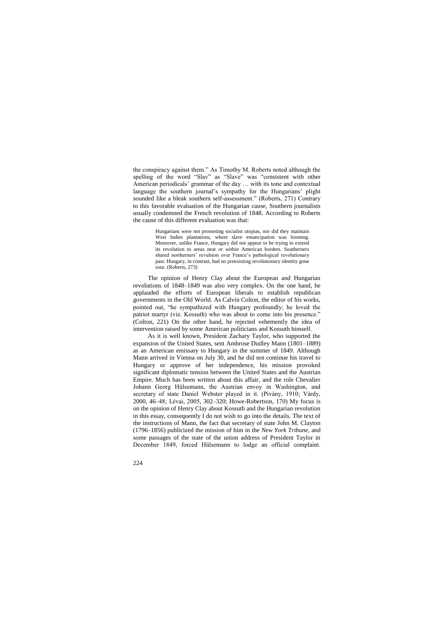the conspiracy against them." As Timothy M. Roberts noted although the spelling of the word "Slav" as "Slave" was "consistent with other American periodicals' grammar of the day … with its tone and contextual language the southern journal's sympathy for the Hungarians' plight sounded like a bleak southern self-assessment." (Roberts, 271) Contrary to this favorable evaluation of the Hungarian cause, Southern journalists usually condemned the French revolution of 1848. According to Roberts the cause of this different evaluation was that:

> Hungarians were not promoting socialist utopias, nor did they maintain West Indies plantations, where slave emancipation was looming. Moreover, unlike France, Hungary did not appear to be trying to extend its revolution to areas near or within American borders. Southerners shared northerners' revulsion over France's pathological revolutionary past. Hungary, in contrast, had no preexisting revolutionary identity gone sour. (Roberts, 273)

The opinion of Henry Clay about the European and Hungarian revolutions of 1848–1849 was also very complex. On the one hand, he applauded the efforts of European liberals to establish republican governments in the Old World. As Calvin Colton, the editor of his works, pointed out, "he sympathized with Hungary profoundly; he loved the patriot martyr (viz. Kossuth) who was about to come into his presence." (Colton, 221) On the other hand, he rejected vehemently the idea of intervention raised by some American politicians and Kossuth himself.

As it is well known, President Zachary Taylor, who supported the expansion of the United States, sent Ambrose Dudley Mann (1801–1889) as an American emissary to Hungary in the summer of 1849. Although Mann arrived in Vienna on July 30, and he did not continue his travel to Hungary or approve of her independence, his mission provoked significant diplomatic tension between the United States and the Austrian Empire. Much has been written about this affair, and the role Chevalier Johann Georg Hülsemann, the Austrian envoy in Washington, and secretary of state Daniel Webster played in it. (Pivány, 1910; Várdy, 2000, 46–48; Lévai, 2005, 302–320; Howe-Robertson, 170) My focus is on the opinion of Henry Clay about Kossuth and the Hungarian revolution in this essay, consequently I do not wish to go into the details. The text of the instructions of Mann, the fact that secretary of state John M. Clayton (1796–1856) publicized the mission of him in the *New York Tribune*, and some passages of the state of the union address of President Taylor in December 1849, forced Hülsemann to lodge an official complaint.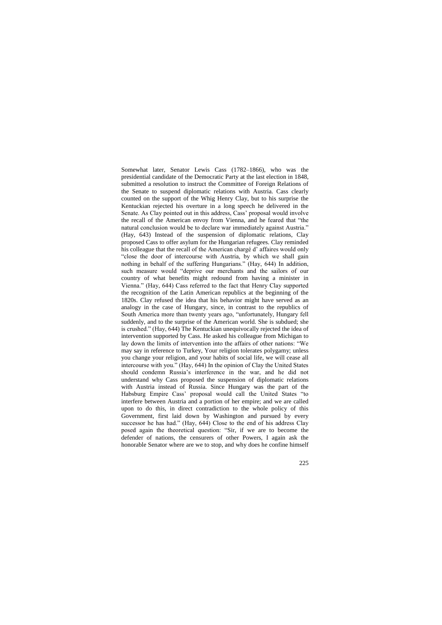Somewhat later, Senator Lewis Cass (1782–1866), who was the presidential candidate of the Democratic Party at the last election in 1848, submitted a resolution to instruct the Committee of Foreign Relations of the Senate to suspend diplomatic relations with Austria. Cass clearly counted on the support of the Whig Henry Clay, but to his surprise the Kentuckian rejected his overture in a long speech he delivered in the Senate. As Clay pointed out in this address, Cass' proposal would involve the recall of the American envoy from Vienna, and he feared that "the natural conclusion would be to declare war immediately against Austria." (Hay, 643) Instead of the suspension of diplomatic relations, Clay proposed Cass to offer asylum for the Hungarian refugees. Clay reminded his colleague that the recall of the American chargé d' affaires would only "close the door of intercourse with Austria, by which we shall gain nothing in behalf of the suffering Hungarians." (Hay, 644) In addition, such measure would "deprive our merchants and the sailors of our country of what benefits might redound from having a minister in Vienna." (Hay, 644) Cass referred to the fact that Henry Clay supported the recognition of the Latin American republics at the beginning of the 1820s. Clay refused the idea that his behavior might have served as an analogy in the case of Hungary, since, in contrast to the republics of South America more than twenty years ago, "unfortunately, Hungary fell suddenly, and to the surprise of the American world. She is subdued; she is crushed." (Hay, 644) The Kentuckian unequivocally rejected the idea of intervention supported by Cass. He asked his colleague from Michigan to lay down the limits of intervention into the affairs of other nations: "We may say in reference to Turkey, Your religion tolerates polygamy; unless you change your religion, and your habits of social life, we will cease all intercourse with you." (Hay, 644) In the opinion of Clay the United States should condemn Russia's interference in the war, and he did not understand why Cass proposed the suspension of diplomatic relations with Austria instead of Russia. Since Hungary was the part of the Habsburg Empire Cass' proposal would call the United States "to interfere between Austria and a portion of her empire; and we are called upon to do this, in direct contradiction to the whole policy of this Government, first laid down by Washington and pursued by every successor he has had." (Hay, 644) Close to the end of his address Clay posed again the theoretical question: "Sir, if we are to become the defender of nations, the censurers of other Powers, I again ask the honorable Senator where are we to stop, and why does he confine himself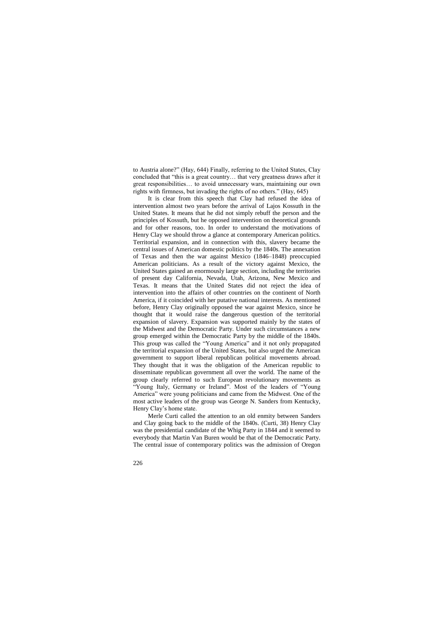to Austria alone?" (Hay, 644) Finally, referring to the United States, Clay concluded that "this is a great country… that very greatness draws after it great responsibilities… to avoid unnecessary wars, maintaining our own rights with firmness, but invading the rights of no others." (Hay, 645)

It is clear from this speech that Clay had refused the idea of intervention almost two years before the arrival of Lajos Kossuth in the United States. It means that he did not simply rebuff the person and the principles of Kossuth, but he opposed intervention on theoretical grounds and for other reasons, too. In order to understand the motivations of Henry Clay we should throw a glance at contemporary American politics. Territorial expansion, and in connection with this, slavery became the central issues of American domestic politics by the 1840s. The annexation of Texas and then the war against Mexico (1846–1848) preoccupied American politicians. As a result of the victory against Mexico, the United States gained an enormously large section, including the territories of present day California, Nevada, Utah, Arizona, New Mexico and Texas. It means that the United States did not reject the idea of intervention into the affairs of other countries on the continent of North America, if it coincided with her putative national interests. As mentioned before, Henry Clay originally opposed the war against Mexico, since he thought that it would raise the dangerous question of the territorial expansion of slavery. Expansion was supported mainly by the states of the Midwest and the Democratic Party. Under such circumstances a new group emerged within the Democratic Party by the middle of the 1840s. This group was called the "Young America" and it not only propagated the territorial expansion of the United States, but also urged the American government to support liberal republican political movements abroad. They thought that it was the obligation of the American republic to disseminate republican government all over the world. The name of the group clearly referred to such European revolutionary movements as "Young Italy, Germany or Ireland". Most of the leaders of "Young America" were young politicians and came from the Midwest. One of the most active leaders of the group was George N. Sanders from Kentucky, Henry Clay's home state.

Merle Curti called the attention to an old enmity between Sanders and Clay going back to the middle of the 1840s. (Curti, 38) Henry Clay was the presidential candidate of the Whig Party in 1844 and it seemed to everybody that Martin Van Buren would be that of the Democratic Party. The central issue of contemporary politics was the admission of Oregon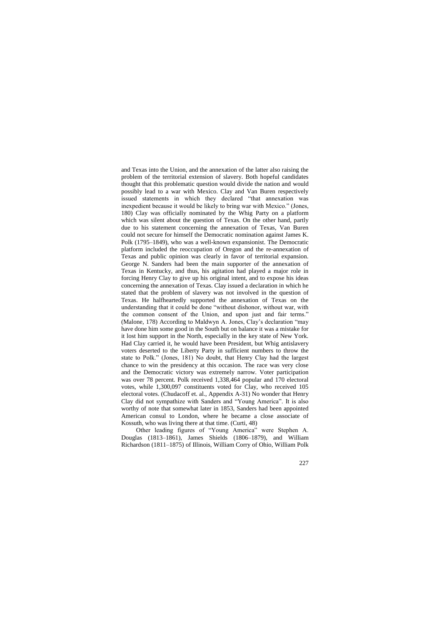and Texas into the Union, and the annexation of the latter also raising the problem of the territorial extension of slavery. Both hopeful candidates thought that this problematic question would divide the nation and would possibly lead to a war with Mexico. Clay and Van Buren respectively issued statements in which they declared "that annexation was inexpedient because it would be likely to bring war with Mexico." (Jones, 180) Clay was officially nominated by the Whig Party on a platform which was silent about the question of Texas. On the other hand, partly due to his statement concerning the annexation of Texas, Van Buren could not secure for himself the Democratic nomination against James K. Polk (1795–1849), who was a well-known expansionist. The Democratic platform included the reoccupation of Oregon and the re-annexation of Texas and public opinion was clearly in favor of territorial expansion. George N. Sanders had been the main supporter of the annexation of Texas in Kentucky, and thus, his agitation had played a major role in forcing Henry Clay to give up his original intent, and to expose his ideas concerning the annexation of Texas. Clay issued a declaration in which he stated that the problem of slavery was not involved in the question of Texas. He halfheartedly supported the annexation of Texas on the understanding that it could be done "without dishonor, without war, with the common consent of the Union, and upon just and fair terms." (Malone, 178) According to Maldwyn A. Jones, Clay's declaration "may have done him some good in the South but on balance it was a mistake for it lost him support in the North, especially in the key state of New York. Had Clay carried it, he would have been President, but Whig antislavery voters deserted to the Liberty Party in sufficient numbers to throw the state to Polk." (Jones, 181) No doubt, that Henry Clay had the largest chance to win the presidency at this occasion. The race was very close and the Democratic victory was extremely narrow. Voter participation was over 78 percent. Polk received 1,338,464 popular and 170 electoral votes, while 1,300,097 constituents voted for Clay, who received 105 electoral votes. (Chudacoff et. al., Appendix A-31) No wonder that Henry Clay did not sympathize with Sanders and "Young America". It is also worthy of note that somewhat later in 1853, Sanders had been appointed American consul to London, where he became a close associate of Kossuth, who was living there at that time. (Curti, 48)

Other leading figures of "Young America" were Stephen A. Douglas (1813–1861), James Shields (1806–1879), and William Richardson (1811–1875) of Illinois, William Corry of Ohio, William Polk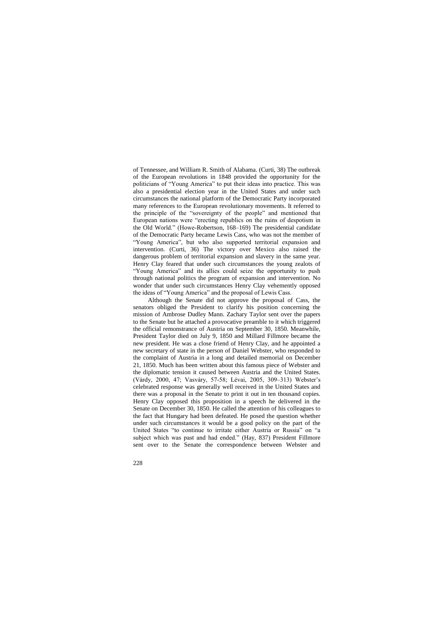of Tennessee, and William R. Smith of Alabama. (Curti, 38) The outbreak of the European revolutions in 1848 provided the opportunity for the politicians of "Young America" to put their ideas into practice. This was also a presidential election year in the United States and under such circumstances the national platform of the Democratic Party incorporated many references to the European revolutionary movements. It referred to the principle of the "sovereignty of the people" and mentioned that European nations were "erecting republics on the ruins of despotism in the Old World." (Howe-Robertson, 168–169) The presidential candidate of the Democratic Party became Lewis Cass, who was not the member of "Young America", but who also supported territorial expansion and intervention. (Curti, 36) The victory over Mexico also raised the dangerous problem of territorial expansion and slavery in the same year. Henry Clay feared that under such circumstances the young zealots of "Young America" and its allies could seize the opportunity to push through national politics the program of expansion and intervention. No wonder that under such circumstances Henry Clay vehemently opposed the ideas of "Young America" and the proposal of Lewis Cass.

Although the Senate did not approve the proposal of Cass, the senators obliged the President to clarify his position concerning the mission of Ambrose Dudley Mann. Zachary Taylor sent over the papers to the Senate but he attached a provocative preamble to it which triggered the official remonstrance of Austria on September 30, 1850. Meanwhile, President Taylor died on July 9, 1850 and Millard Fillmore became the new president. He was a close friend of Henry Clay, and he appointed a new secretary of state in the person of Daniel Webster, who responded to the complaint of Austria in a long and detailed memorial on December 21, 1850. Much has been written about this famous piece of Webster and the diplomatic tension it caused between Austria and the United States. (Várdy, 2000, 47; Vasváry, 57-58; Lévai, 2005, 309–313) Webster's celebrated response was generally well received in the United States and there was a proposal in the Senate to print it out in ten thousand copies. Henry Clay opposed this proposition in a speech he delivered in the Senate on December 30, 1850. He called the attention of his colleagues to the fact that Hungary had been defeated. He posed the question whether under such circumstances it would be a good policy on the part of the United States "to continue to irritate either Austria or Russia" on "a subject which was past and had ended." (Hay, 837) President Fillmore sent over to the Senate the correspondence between Webster and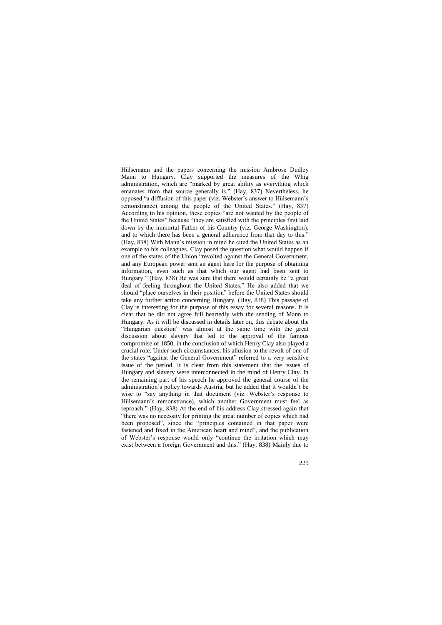Hülsemann and the papers concerning the mission Ambrose Dudley Mann to Hungary. Clay supported the measures of the Whig administration, which are "marked by great ability as everything which emanates from that source generally is." (Hay, 837) Nevertheless, he opposed "a diffusion of this paper (viz. Webster's answer to Hülsemann's remonstrance) among the people of the United States." (Hay, 837) According to his opinion, these copies "are not wanted by the people of the United States" because "they are satisfied with the principles first laid down by the immortal Father of his Country (viz. George Washington), and to which there has been a general adherence from that day to this." (Hay, 838) With Mann's mission in mind he cited the United States as an example to his colleagues. Clay posed the question what would happen if one of the states of the Union "revolted against the General Government, and any European power sent an agent here for the purpose of obtaining information, even such as that which our agent had been sent to Hungary." (Hay, 838) He was sure that there would certainly be "a great deal of feeling throughout the United States." He also added that we should "place ourselves in their position" before the United States should take any further action concerning Hungary. (Hay, 838) This passage of Clay is interesting for the purpose of this essay for several reasons. It is clear that he did not agree full heartedly with the sending of Mann to Hungary. As it will be discussed in details later on, this debate about the "Hungarian question" was almost at the same time with the great discussion about slavery that led to the approval of the famous compromise of 1850, in the conclusion of which Henry Clay also played a crucial role. Under such circumstances, his allusion to the revolt of one of the states "against the General Government" referred to a very sensitive issue of the period. It is clear from this statement that the issues of Hungary and slavery were interconnected in the mind of Henry Clay. In the remaining part of his speech he approved the general course of the administration's policy towards Austria, but he added that it wouldn't be wise to "say anything in that document (viz. Webster's response to Hülsemann's remonstrance), which another Government must feel as reproach." (Hay, 838) At the end of his address Clay stressed again that "there was no necessity for printing the great number of copies which had been proposed", since the "principles contained in that paper were fastened and fixed in the American heart and mind", and the publication of Webster's response would only "continue the irritation which may exist between a foreign Government and this." (Hay, 838) Mainly due to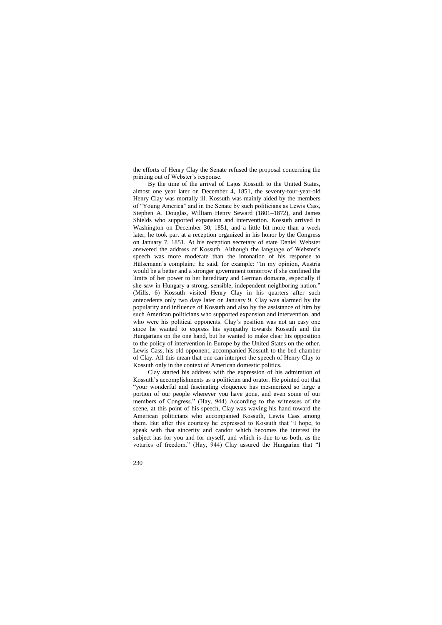the efforts of Henry Clay the Senate refused the proposal concerning the printing out of Webster's response.

By the time of the arrival of Lajos Kossuth to the United States, almost one year later on December 4, 1851, the seventy-four-year-old Henry Clay was mortally ill. Kossuth was mainly aided by the members of "Young America" and in the Senate by such politicians as Lewis Cass, Stephen A. Douglas, William Henry Seward (1801–1872), and James Shields who supported expansion and intervention. Kossuth arrived in Washington on December 30, 1851, and a little bit more than a week later, he took part at a reception organized in his honor by the Congress on January 7, 1851. At his reception secretary of state Daniel Webster answered the address of Kossuth. Although the language of Webster's speech was more moderate than the intonation of his response to Hülsemann's complaint: he said, for example: "In my opinion, Austria would be a better and a stronger government tomorrow if she confined the limits of her power to her hereditary and German domains, especially if she saw in Hungary a strong, sensible, independent neighboring nation." (Mills, 6) Kossuth visited Henry Clay in his quarters after such antecedents only two days later on January 9. Clay was alarmed by the popularity and influence of Kossuth and also by the assistance of him by such American politicians who supported expansion and intervention, and who were his political opponents. Clay's position was not an easy one since he wanted to express his sympathy towards Kossuth and the Hungarians on the one hand, but he wanted to make clear his opposition to the policy of intervention in Europe by the United States on the other. Lewis Cass, his old opponent, accompanied Kossuth to the bed chamber of Clay. All this mean that one can interpret the speech of Henry Clay to Kossuth only in the context of American domestic politics.

Clay started his address with the expression of his admiration of Kossuth's accomplishments as a politician and orator. He pointed out that "your wonderful and fascinating eloquence has mesmerized so large a portion of our people wherever you have gone, and even some of our members of Congress." (Hay, 944) According to the witnesses of the scene, at this point of his speech, Clay was waving his hand toward the American politicians who accompanied Kossuth, Lewis Cass among them. But after this courtesy he expressed to Kossuth that "I hope, to speak with that sincerity and candor which becomes the interest the subject has for you and for myself, and which is due to us both, as the votaries of freedom." (Hay, 944) Clay assured the Hungarian that "I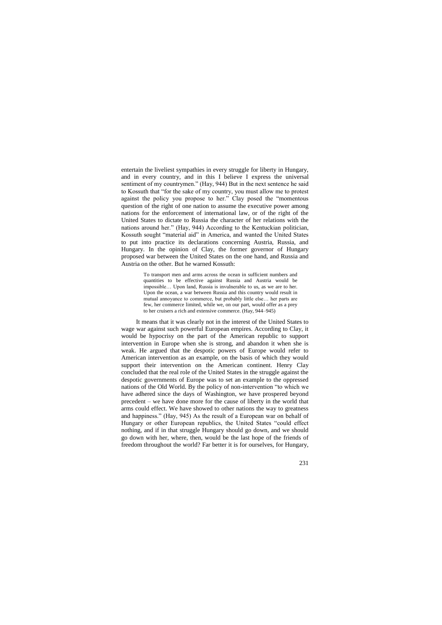entertain the liveliest sympathies in every struggle for liberty in Hungary, and in every country, and in this I believe I express the universal sentiment of my countrymen." (Hay, 944) But in the next sentence he said to Kossuth that "for the sake of my country, you must allow me to protest against the policy you propose to her." Clay posed the "momentous question of the right of one nation to assume the executive power among nations for the enforcement of international law, or of the right of the United States to dictate to Russia the character of her relations with the nations around her." (Hay, 944) According to the Kentuckian politician, Kossuth sought "material aid" in America, and wanted the United States to put into practice its declarations concerning Austria, Russia, and Hungary. In the opinion of Clay, the former governor of Hungary proposed war between the United States on the one hand, and Russia and Austria on the other. But he warned Kossuth:

> To transport men and arms across the ocean in sufficient numbers and quantities to be effective against Russia and Austria would be impossible… Upon land, Russia is invulnerable to us, as we are to her. Upon the ocean, a war between Russia and this country would result in mutual annoyance to commerce, but probably little else… her parts are few, her commerce limited, while we, on our part, would offer as a prey to her cruisers a rich and extensive commerce. (Hay, 944–945)

It means that it was clearly not in the interest of the United States to wage war against such powerful European empires. According to Clay, it would be hypocrisy on the part of the American republic to support intervention in Europe when she is strong, and abandon it when she is weak. He argued that the despotic powers of Europe would refer to American intervention as an example, on the basis of which they would support their intervention on the American continent. Henry Clay concluded that the real role of the United States in the struggle against the despotic governments of Europe was to set an example to the oppressed nations of the Old World. By the policy of non-intervention "to which we have adhered since the days of Washington, we have prospered beyond precedent – we have done more for the cause of liberty in the world that arms could effect. We have showed to other nations the way to greatness and happiness." (Hay, 945) As the result of a European war on behalf of Hungary or other European republics, the United States "could effect nothing, and if in that struggle Hungary should go down, and we should go down with her, where, then, would be the last hope of the friends of freedom throughout the world? Far better it is for ourselves, for Hungary,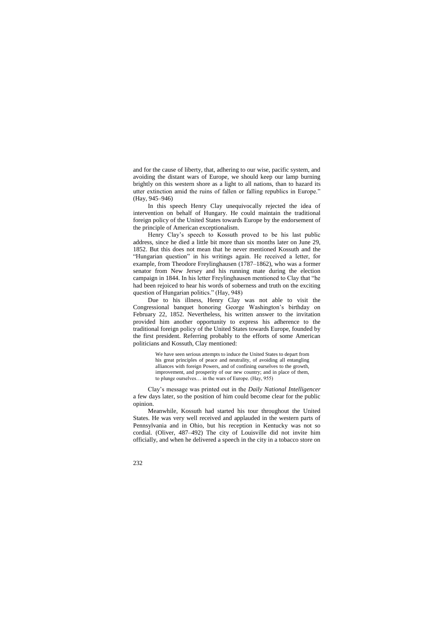and for the cause of liberty, that, adhering to our wise, pacific system, and avoiding the distant wars of Europe, we should keep our lamp burning brightly on this western shore as a light to all nations, than to hazard its utter extinction amid the ruins of fallen or falling republics in Europe." (Hay, 945–946)

In this speech Henry Clay unequivocally rejected the idea of intervention on behalf of Hungary. He could maintain the traditional foreign policy of the United States towards Europe by the endorsement of the principle of American exceptionalism.

Henry Clay's speech to Kossuth proved to be his last public address, since he died a little bit more than six months later on June 29, 1852. But this does not mean that he never mentioned Kossuth and the "Hungarian question" in his writings again. He received a letter, for example, from Theodore Freylinghausen (1787–1862), who was a former senator from New Jersey and his running mate during the election campaign in 1844. In his letter Freylinghausen mentioned to Clay that "he had been rejoiced to hear his words of soberness and truth on the exciting question of Hungarian politics." (Hay, 948)

Due to his illness, Henry Clay was not able to visit the Congressional banquet honoring George Washington's birthday on February 22, 1852. Nevertheless, his written answer to the invitation provided him another opportunity to express his adherence to the traditional foreign policy of the United States towards Europe, founded by the first president. Referring probably to the efforts of some American politicians and Kossuth, Clay mentioned:

> We have seen serious attempts to induce the United States to depart from his great principles of peace and neutrality, of avoiding all entangling alliances with foreign Powers, and of confining ourselves to the growth, improvement, and prosperity of our new country; and in place of them, to plunge ourselves… in the wars of Europe. (Hay, 955)

Clay's message was printed out in the *Daily National Intelligencer*  a few days later, so the position of him could become clear for the public opinion.

Meanwhile, Kossuth had started his tour throughout the United States. He was very well received and applauded in the western parts of Pennsylvania and in Ohio, but his reception in Kentucky was not so cordial. (Oliver, 487–492) The city of Louisville did not invite him officially, and when he delivered a speech in the city in a tobacco store on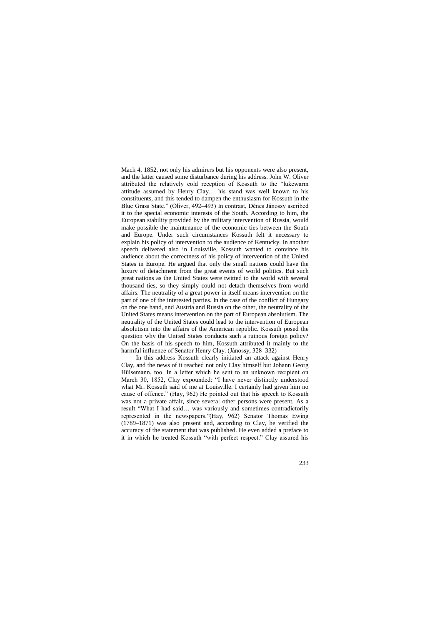Mach 4, 1852, not only his admirers but his opponents were also present, and the latter caused some disturbance during his address. John W. Oliver attributed the relatively cold reception of Kossuth to the "lukewarm attitude assumed by Henry Clay… his stand was well known to his constituents, and this tended to dampen the enthusiasm for Kossuth in the Blue Grass State." (Oliver, 492–493) In contrast, Dénes Jánossy ascribed it to the special economic interests of the South. According to him, the European stability provided by the military intervention of Russia, would make possible the maintenance of the economic ties between the South and Europe. Under such circumstances Kossuth felt it necessary to explain his policy of intervention to the audience of Kentucky. In another speech delivered also in Louisville, Kossuth wanted to convince his audience about the correctness of his policy of intervention of the United States in Europe. He argued that only the small nations could have the luxury of detachment from the great events of world politics. But such great nations as the United States were twitted to the world with several thousand ties, so they simply could not detach themselves from world affairs. The neutrality of a great power in itself means intervention on the part of one of the interested parties. In the case of the conflict of Hungary on the one hand, and Austria and Russia on the other, the neutrality of the United States means intervention on the part of European absolutism. The neutrality of the United States could lead to the intervention of European absolutism into the affairs of the American republic. Kossuth posed the question why the United States conducts such a ruinous foreign policy? On the basis of his speech to him, Kossuth attributed it mainly to the harmful influence of Senator Henry Clay. (Jánossy, 328–332)

In this address Kossuth clearly initiated an attack against Henry Clay, and the news of it reached not only Clay himself but Johann Georg Hülsemann, too. In a letter which he sent to an unknown recipient on March 30, 1852, Clay expounded: "I have never distinctly understood what Mr. Kossuth said of me at Louisville. I certainly had given him no cause of offence." (Hay, 962) He pointed out that his speech to Kossuth was not a private affair, since several other persons were present. As a result "What I had said… was variously and sometimes contradictorily represented in the newspapers."(Hay, 962) Senator Thomas Ewing (1789–1871) was also present and, according to Clay, he verified the accuracy of the statement that was published. He even added a preface to it in which he treated Kossuth "with perfect respect." Clay assured his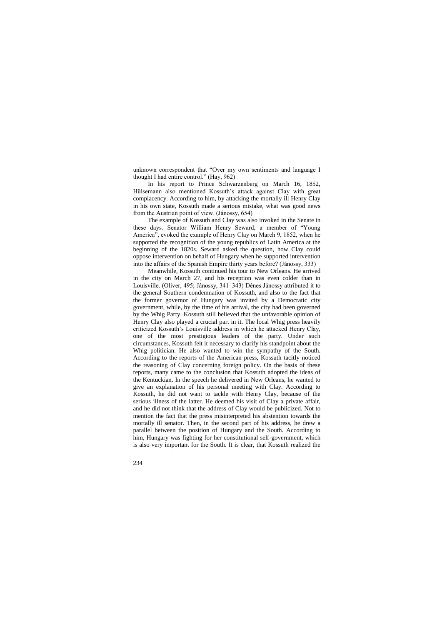unknown correspondent that "Over my own sentiments and language I thought I had entire control." (Hay, 962)

In his report to Prince Schwarzenberg on March 16, 1852, Hülsemann also mentioned Kossuth's attack against Clay with great complacency. According to him, by attacking the mortally ill Henry Clay in his own state, Kossuth made a serious mistake, what was good news from the Austrian point of view. (Jánossy, 654)

The example of Kossuth and Clay was also invoked in the Senate in these days. Senator William Henry Seward, a member of "Young America", evoked the example of Henry Clay on March 9, 1852, when he supported the recognition of the young republics of Latin America at the beginning of the 1820s. Seward asked the question, how Clay could oppose intervention on behalf of Hungary when he supported intervention into the affairs of the Spanish Empire thirty years before? (Jánossy, 333)

Meanwhile, Kossuth continued his tour to New Orleans. He arrived in the city on March 27, and his reception was even colder than in Louisville. (Oliver, 495; Jánossy, 341–343) Dénes Jánossy attributed it to the general Southern condemnation of Kossuth, and also to the fact that the former governor of Hungary was invited by a Democratic city government, while, by the time of his arrival, the city had been governed by the Whig Party. Kossuth still believed that the unfavorable opinion of Henry Clay also played a crucial part in it. The local Whig press heavily criticized Kossuth's Louisville address in which he attacked Henry Clay, one of the most prestigious leaders of the party. Under such circumstances, Kossuth felt it necessary to clarify his standpoint about the Whig politician. He also wanted to win the sympathy of the South. According to the reports of the American press, Kossuth tacitly noticed the reasoning of Clay concerning foreign policy. On the basis of these reports, many came to the conclusion that Kossuth adopted the ideas of the Kentuckian. In the speech he delivered in New Orleans, he wanted to give an explanation of his personal meeting with Clay. According to Kossuth, he did not want to tackle with Henry Clay, because of the serious illness of the latter. He deemed his visit of Clay a private affair, and he did not think that the address of Clay would be publicized. Not to mention the fact that the press misinterpreted his abstention towards the mortally ill senator. Then, in the second part of his address, he drew a parallel between the position of Hungary and the South. According to him, Hungary was fighting for her constitutional self-government, which is also very important for the South. It is clear, that Kossuth realized the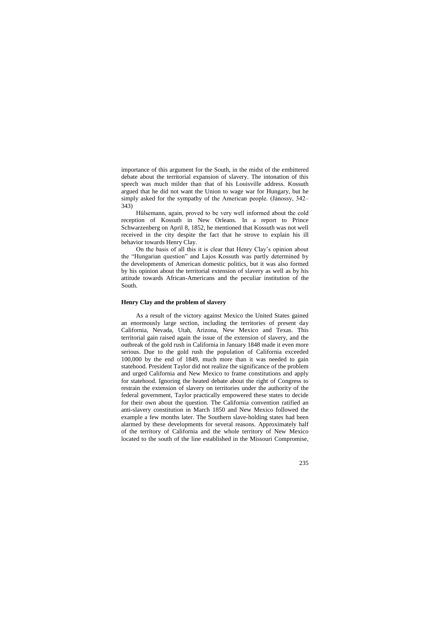importance of this argument for the South, in the midst of the embittered debate about the territorial expansion of slavery. The intonation of this speech was much milder than that of his Louisville address. Kossuth argued that he did not want the Union to wage war for Hungary, but he simply asked for the sympathy of the American people. (Jánossy, 342– 343)

Hülsemann, again, proved to be very well informed about the cold reception of Kossuth in New Orleans. In a report to Prince Schwarzenberg on April 8, 1852, he mentioned that Kossuth was not well received in the city despite the fact that he strove to explain his ill behavior towards Henry Clay.

On the basis of all this it is clear that Henry Clay's opinion about the "Hungarian question" and Lajos Kossuth was partly determined by the developments of American domestic politics, but it was also formed by his opinion about the territorial extension of slavery as well as by his attitude towards African-Americans and the peculiar institution of the South.

### **Henry Clay and the problem of slavery**

As a result of the victory against Mexico the United States gained an enormously large section, including the territories of present day California, Nevada, Utah, Arizona, New Mexico and Texas. This territorial gain raised again the issue of the extension of slavery, and the outbreak of the gold rush in California in January 1848 made it even more serious. Due to the gold rush the population of California exceeded 100,000 by the end of 1849, much more than it was needed to gain statehood. President Taylor did not realize the significance of the problem and urged California and New Mexico to frame constitutions and apply for statehood. Ignoring the heated debate about the right of Congress to restrain the extension of slavery on territories under the authority of the federal government, Taylor practically empowered these states to decide for their own about the question. The California convention ratified an anti-slavery constitution in March 1850 and New Mexico followed the example a few months later. The Southern slave-holding states had been alarmed by these developments for several reasons. Approximately half of the territory of California and the whole territory of New Mexico located to the south of the line established in the Missouri Compromise,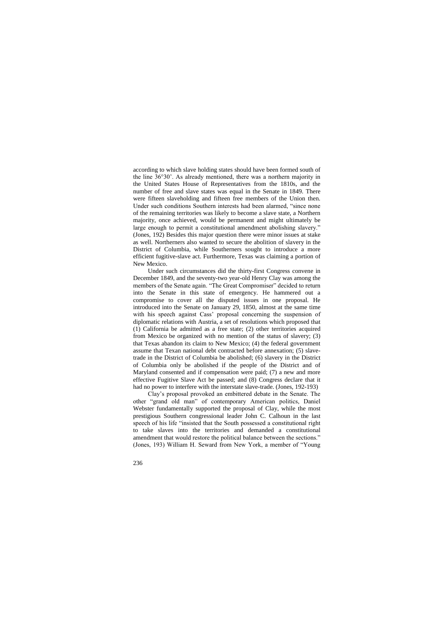according to which slave holding states should have been formed south of the line 36°30'. As already mentioned, there was a northern majority in the United States House of Representatives from the 1810s, and the number of free and slave states was equal in the Senate in 1849. There were fifteen slaveholding and fifteen free members of the Union then. Under such conditions Southern interests had been alarmed, "since none of the remaining territories was likely to become a slave state, a Northern majority, once achieved, would be permanent and might ultimately be large enough to permit a constitutional amendment abolishing slavery." (Jones, 192) Besides this major question there were minor issues at stake as well. Northerners also wanted to secure the abolition of slavery in the District of Columbia, while Southerners sought to introduce a more efficient fugitive-slave act. Furthermore, Texas was claiming a portion of New Mexico.

Under such circumstances did the thirty-first Congress convene in December 1849, and the seventy-two year-old Henry Clay was among the members of the Senate again. "The Great Compromiser" decided to return into the Senate in this state of emergency. He hammered out a compromise to cover all the disputed issues in one proposal. He introduced into the Senate on January 29, 1850, almost at the same time with his speech against Cass' proposal concerning the suspension of diplomatic relations with Austria, a set of resolutions which proposed that (1) California be admitted as a free state; (2) other territories acquired from Mexico be organized with no mention of the status of slavery; (3) that Texas abandon its claim to New Mexico; (4) the federal government assume that Texan national debt contracted before annexation; (5) slavetrade in the District of Columbia be abolished; (6) slavery in the District of Columbia only be abolished if the people of the District and of Maryland consented and if compensation were paid; (7) a new and more effective Fugitive Slave Act be passed; and (8) Congress declare that it had no power to interfere with the interstate slave-trade. (Jones, 192-193)

Clay's proposal provoked an embittered debate in the Senate. The other "grand old man" of contemporary American politics, Daniel Webster fundamentally supported the proposal of Clay, while the most prestigious Southern congressional leader John C. Calhoun in the last speech of his life "insisted that the South possessed a constitutional right to take slaves into the territories and demanded a constitutional amendment that would restore the political balance between the sections." (Jones, 193) William H. Seward from New York, a member of "Young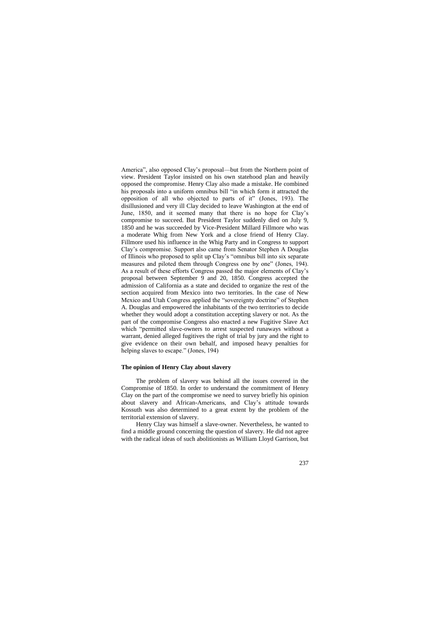America", also opposed Clay's proposal—but from the Northern point of view. President Taylor insisted on his own statehood plan and heavily opposed the compromise. Henry Clay also made a mistake. He combined his proposals into a uniform omnibus bill "in which form it attracted the opposition of all who objected to parts of it" (Jones, 193). The disillusioned and very ill Clay decided to leave Washington at the end of June, 1850, and it seemed many that there is no hope for Clay's compromise to succeed. But President Taylor suddenly died on July 9, 1850 and he was succeeded by Vice-President Millard Fillmore who was a moderate Whig from New York and a close friend of Henry Clay. Fillmore used his influence in the Whig Party and in Congress to support Clay's compromise. Support also came from Senator Stephen A Douglas of Illinois who proposed to split up Clay's "omnibus bill into six separate measures and piloted them through Congress one by one" (Jones, 194). As a result of these efforts Congress passed the major elements of Clay's proposal between September 9 and 20, 1850. Congress accepted the admission of California as a state and decided to organize the rest of the section acquired from Mexico into two territories. In the case of New Mexico and Utah Congress applied the "sovereignty doctrine" of Stephen A. Douglas and empowered the inhabitants of the two territories to decide whether they would adopt a constitution accepting slavery or not. As the part of the compromise Congress also enacted a new Fugitive Slave Act which "permitted slave-owners to arrest suspected runaways without a warrant, denied alleged fugitives the right of trial by jury and the right to give evidence on their own behalf, and imposed heavy penalties for helping slaves to escape." (Jones, 194)

#### **The opinion of Henry Clay about slavery**

The problem of slavery was behind all the issues covered in the Compromise of 1850. In order to understand the commitment of Henry Clay on the part of the compromise we need to survey briefly his opinion about slavery and African-Americans, and Clay's attitude towards Kossuth was also determined to a great extent by the problem of the territorial extension of slavery.

Henry Clay was himself a slave-owner. Nevertheless, he wanted to find a middle ground concerning the question of slavery. He did not agree with the radical ideas of such abolitionists as William Lloyd Garrison, but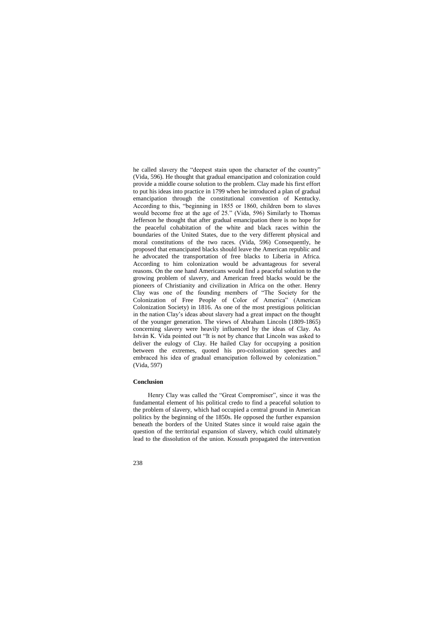he called slavery the "deepest stain upon the character of the country" (Vida, 596). He thought that gradual emancipation and colonization could provide a middle course solution to the problem. Clay made his first effort to put his ideas into practice in 1799 when he introduced a plan of gradual emancipation through the constitutional convention of Kentucky. According to this, "beginning in 1855 or 1860, children born to slaves would become free at the age of 25." (Vida, 596) Similarly to Thomas Jefferson he thought that after gradual emancipation there is no hope for the peaceful cohabitation of the white and black races within the boundaries of the United States, due to the very different physical and moral constitutions of the two races. (Vida, 596) Consequently, he proposed that emancipated blacks should leave the American republic and he advocated the transportation of free blacks to Liberia in Africa. According to him colonization would be advantageous for several reasons. On the one hand Americans would find a peaceful solution to the growing problem of slavery, and American freed blacks would be the pioneers of Christianity and civilization in Africa on the other. Henry Clay was one of the founding members of "The Society for the Colonization of Free People of Color of America" (American Colonization Society) in 1816. As one of the most prestigious politician in the nation Clay's ideas about slavery had a great impact on the thought of the younger generation. The views of Abraham Lincoln (1809-1865) concerning slavery were heavily influenced by the ideas of Clay. As István K. Vida pointed out "It is not by chance that Lincoln was asked to deliver the eulogy of Clay. He hailed Clay for occupying a position between the extremes, quoted his pro-colonization speeches and embraced his idea of gradual emancipation followed by colonization." (Vida, 597)

#### **Conclusion**

Henry Clay was called the "Great Compromiser", since it was the fundamental element of his political credo to find a peaceful solution to the problem of slavery, which had occupied a central ground in American politics by the beginning of the 1850s. He opposed the further expansion beneath the borders of the United States since it would raise again the question of the territorial expansion of slavery, which could ultimately lead to the dissolution of the union. Kossuth propagated the intervention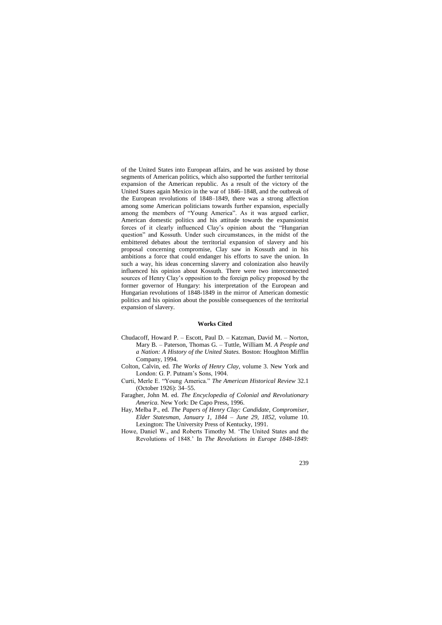of the United States into European affairs, and he was assisted by those segments of American politics, which also supported the further territorial expansion of the American republic. As a result of the victory of the United States again Mexico in the war of 1846–1848, and the outbreak of the European revolutions of 1848–1849, there was a strong affection among some American politicians towards further expansion, especially among the members of "Young America". As it was argued earlier, American domestic politics and his attitude towards the expansionist forces of it clearly influenced Clay's opinion about the "Hungarian question" and Kossuth. Under such circumstances, in the midst of the embittered debates about the territorial expansion of slavery and his proposal concerning compromise, Clay saw in Kossuth and in his ambitions a force that could endanger his efforts to save the union. In such a way, his ideas concerning slavery and colonization also heavily influenced his opinion about Kossuth. There were two interconnected sources of Henry Clay's opposition to the foreign policy proposed by the former governor of Hungary: his interpretation of the European and Hungarian revolutions of 1848-1849 in the mirror of American domestic politics and his opinion about the possible consequences of the territorial expansion of slavery.

#### **Works Cited**

- Chudacoff, Howard P. Escott, Paul D. Katzman, David M. Norton, Mary B. – Paterson, Thomas G. – Tuttle, William M. *A People and a Nation: A History of the United States.* Boston: Houghton Mifflin Company, 1994.
- Colton, Calvin, ed. *The Works of Henry Clay,* volume 3. New York and London: G. P. Putnam's Sons, 1904.
- Curti, Merle E. "Young America." *The American Historical Review* 32.1 (October 1926): 34–55.
- Faragher, John M. ed. *The Encyclopedia of Colonial and Revolutionary America.* New York: De Capo Press, 1996.
- Hay, Melba P., ed. *The Papers of Henry Clay: Candidate, Compromiser, Elder Statesman, January 1, 1844 – June 29, 1852,* volume 10. Lexington: The University Press of Kentucky, 1991.
- Howe, Daniel W., and Roberts Timothy M. 'The United States and the Revolutions of 1848.' In *The Revolutions in Europe 1848-1849:*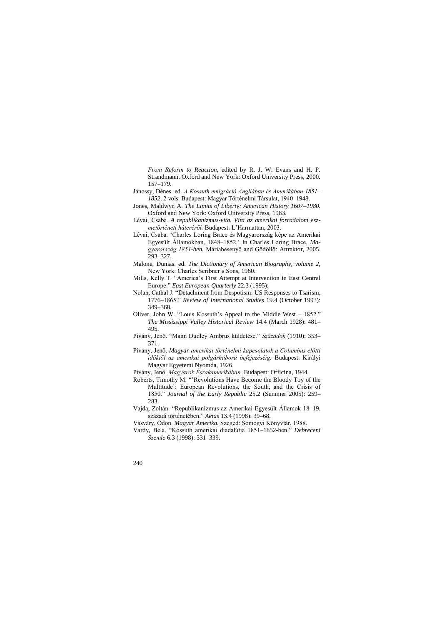*From Reform to Reaction,* edited by R. J. W. Evans and H. P. Strandmann. Oxford and New York: Oxford University Press, 2000. 157–179.

- Jánossy, Dénes. ed. *A Kossuth emigráció Angliában és Amerikában 1851 1852,* 2 vols. Budapest: Magyar Történelmi Társulat, 1940–1948.
- Jones, Maldwyn A. *The Limits of Liberty: American History 1607*–*1980.*  Oxford and New York: Oxford University Press, 1983.
- Lévai, Csaba. *A republikanizmus-vita. Vita az amerikai forradalom eszmetörténeti háteréről.* Budapest: L'Harmattan, 2003.
- Lévai, Csaba. 'Charles Loring Brace és Magyarország képe az Amerikai Egyesült Államokban, 1848–1852.' In Charles Loring Brace, *Magyarország 1851-ben.* Máriabesenyő and Gödöllő: Attraktor, 2005. 293–327.
- Malone, Dumas. ed. *The Dictionary of American Biography, volume 2,* New York: Charles Scribner's Sons, 1960.
- Mills, Kelly T. "America's First Attempt at Intervention in East Central Europe." *East European Quarterly* 22.3 (1995):
- Nolan, Cathal J. "Detachment from Despotism: US Responses to Tsarism, 1776–1865." *Review of International Studies* 19.4 (October 1993): 349–368.
- Oliver, John W. "Louis Kossuth's Appeal to the Middle West 1852." *The Mississippi Valley Historical Review* 14.4 (March 1928): 481– 495.
- Pivány, Jenő. "Mann Dudley Ambrus küldetése." *Századok* (1910): 353– 371.
- Pivány, Jenő. *Magyar-amerikai történelmi kapcsolatok a Columbus előtti időktől az amerikai polgárháború befejezéséig.* Budapest: Királyi Magyar Egyetemi Nyomda, 1926.
- Pivány, Jenő. *Magyarok Északamerikában.* Budapest: Officina, 1944.
- Roberts, Timothy M. "'Revolutions Have Become the Bloody Toy of the Multitude': European Revolutions, the South, and the Crisis of 1850." *Journal of the Early Republic* 25.2 (Summer 2005): 259– 283.
- Vajda, Zoltán. "Republikanizmus az Amerikai Egyesült Államok 18–19. századi történetében." *Aetas* 13.4 (1998): 39–68.
- Vasváry, Ödön. *Magyar Amerika.* Szeged: Somogyi Könyvtár, 1988.
- Várdy, Béla. "Kossuth amerikai diadalútja 1851–1852-ben." *Debreceni Szemle* 6.3 (1998): 331–339.